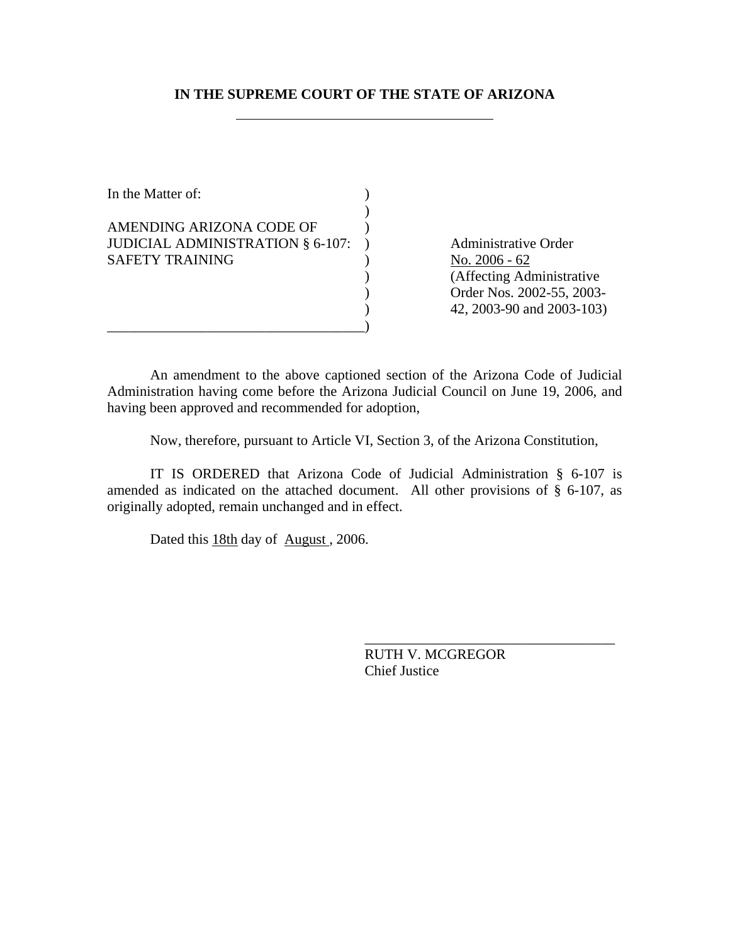# **IN THE SUPREME COURT OF THE STATE OF ARIZONA**

| In the Matter of:                       |  |
|-----------------------------------------|--|
|                                         |  |
| AMENDING ARIZONA CODE OF                |  |
| <b>JUDICIAL ADMINISTRATION § 6-107:</b> |  |
| <b>SAFETY TRAINING</b>                  |  |
|                                         |  |
|                                         |  |
|                                         |  |
|                                         |  |

Administrative Order No. 2006 - 62 ) (Affecting Administrative ) Order Nos. 2002-55, 2003- ) 42, 2003-90 and 2003-103)

An amendment to the above captioned section of the Arizona Code of Judicial Administration having come before the Arizona Judicial Council on June 19, 2006, and having been approved and recommended for adoption,

Now, therefore, pursuant to Article VI, Section 3, of the Arizona Constitution,

IT IS ORDERED that Arizona Code of Judicial Administration § 6-107 is amended as indicated on the attached document. All other provisions of § 6-107, as originally adopted, remain unchanged and in effect.

Dated this 18th day of August, 2006.

RUTH V. MCGREGOR Chief Justice

\_\_\_\_\_\_\_\_\_\_\_\_\_\_\_\_\_\_\_\_\_\_\_\_\_\_\_\_\_\_\_\_\_\_\_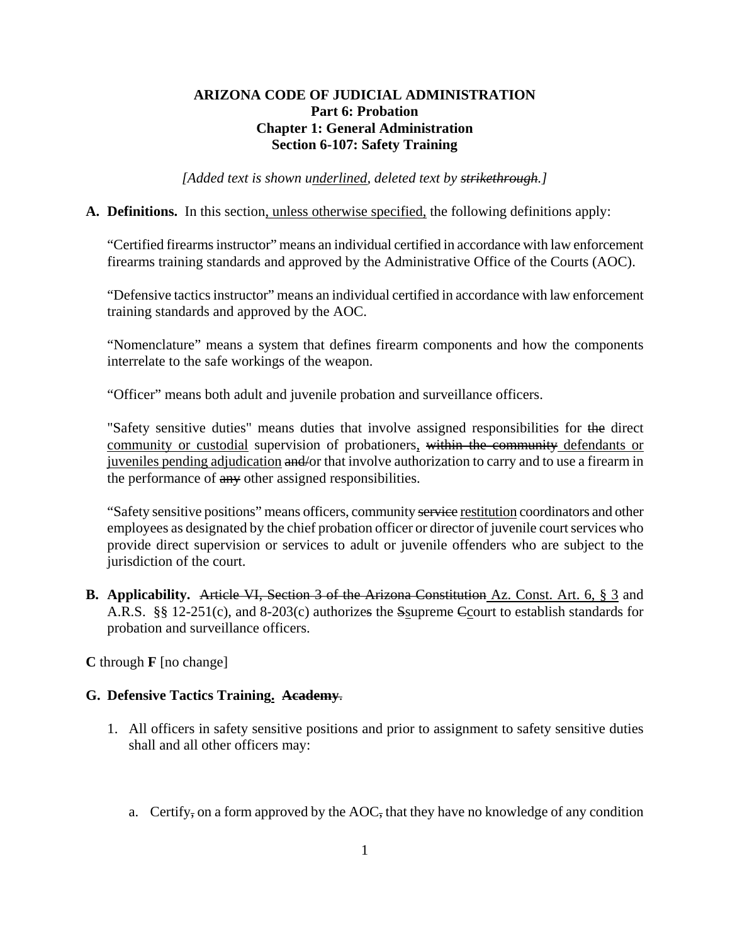# **ARIZONA CODE OF JUDICIAL ADMINISTRATION Part 6: Probation Chapter 1: General Administration Section 6-107: Safety Training**

*[Added text is shown underlined, deleted text by strikethrough.]* 

#### **A. Definitions.** In this section, unless otherwise specified, the following definitions apply:

"Certified firearms instructor" means an individual certified in accordance with law enforcement firearms training standards and approved by the Administrative Office of the Courts (AOC).

"Defensive tactics instructor" means an individual certified in accordance with law enforcement training standards and approved by the AOC.

"Nomenclature" means a system that defines firearm components and how the components interrelate to the safe workings of the weapon.

"Officer" means both adult and juvenile probation and surveillance officers.

"Safety sensitive duties" means duties that involve assigned responsibilities for the direct community or custodial supervision of probationers, within the community defendants or juveniles pending adjudication and/or that involve authorization to carry and to use a firearm in the performance of any other assigned responsibilities.

"Safety sensitive positions" means officers, community service restitution coordinators and other employees as designated by the chief probation officer or director of juvenile court services who provide direct supervision or services to adult or juvenile offenders who are subject to the jurisdiction of the court.

**B. Applicability.** Article VI, Section 3 of the Arizona Constitution Az. Const. Art. 6, § 3 and A.R.S. §§ 12-251(c), and 8-203(c) authorizes the Ssupreme Ccourt to establish standards for probation and surveillance officers.

**C** through **F** [no change]

#### **G. Defensive Tactics Training. Academy**.

- 1. All officers in safety sensitive positions and prior to assignment to safety sensitive duties shall and all other officers may:
	- a. Certify, on a form approved by the AOC, that they have no knowledge of any condition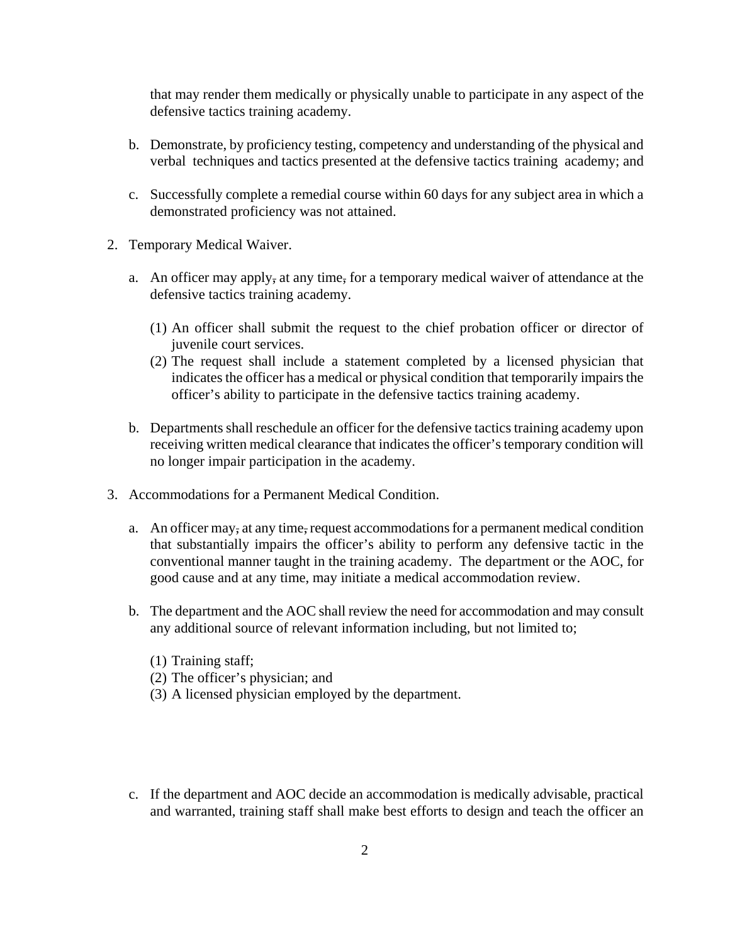that may render them medically or physically unable to participate in any aspect of the defensive tactics training academy.

- b. Demonstrate, by proficiency testing, competency and understanding of the physical and verbal techniques and tactics presented at the defensive tactics training academy; and
- c. Successfully complete a remedial course within 60 days for any subject area in which a demonstrated proficiency was not attained.
- 2. Temporary Medical Waiver.
	- a. An officer may apply, at any time, for a temporary medical waiver of attendance at the defensive tactics training academy.
		- (1) An officer shall submit the request to the chief probation officer or director of juvenile court services.
		- (2) The request shall include a statement completed by a licensed physician that indicates the officer has a medical or physical condition that temporarily impairs the officer's ability to participate in the defensive tactics training academy.
	- b. Departments shall reschedule an officer for the defensive tactics training academy upon receiving written medical clearance that indicates the officer's temporary condition will no longer impair participation in the academy.
- 3. Accommodations for a Permanent Medical Condition.
	- a. An officer may, at any time, request accommodations for a permanent medical condition that substantially impairs the officer's ability to perform any defensive tactic in the conventional manner taught in the training academy. The department or the AOC, for good cause and at any time, may initiate a medical accommodation review.
	- b. The department and the AOC shall review the need for accommodation and may consult any additional source of relevant information including, but not limited to;
		- (1) Training staff;
		- (2) The officer's physician; and
		- (3) A licensed physician employed by the department.
	- c. If the department and AOC decide an accommodation is medically advisable, practical and warranted, training staff shall make best efforts to design and teach the officer an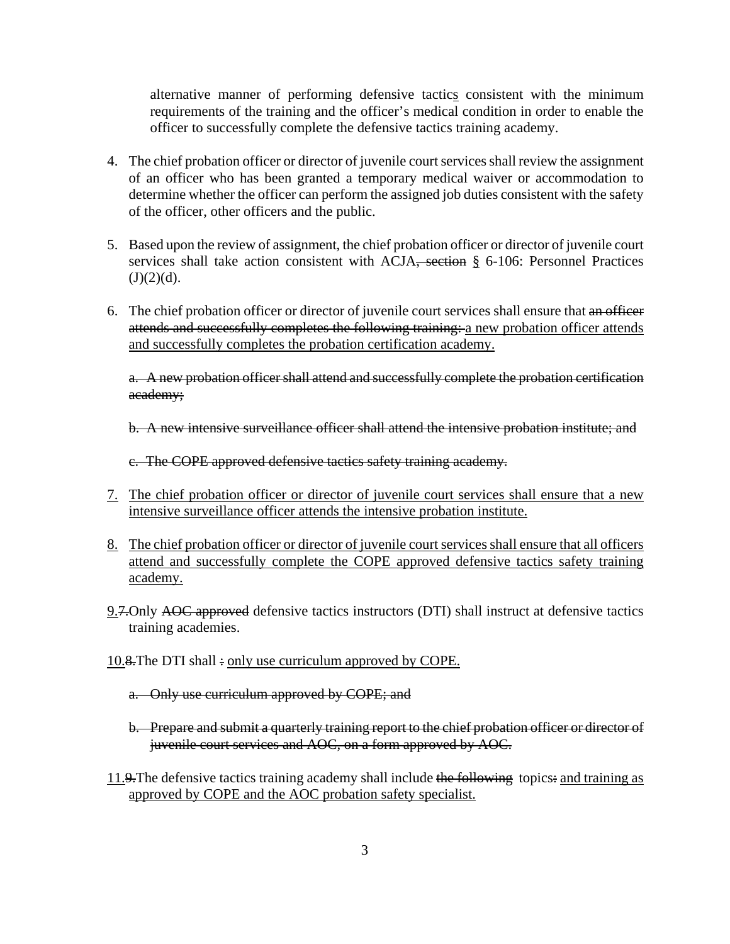alternative manner of performing defensive tactics consistent with the minimum requirements of the training and the officer's medical condition in order to enable the officer to successfully complete the defensive tactics training academy.

- 4. The chief probation officer or director of juvenile court services shall review the assignment of an officer who has been granted a temporary medical waiver or accommodation to determine whether the officer can perform the assigned job duties consistent with the safety of the officer, other officers and the public.
- 5. Based upon the review of assignment, the chief probation officer or director of juvenile court services shall take action consistent with ACJA<del>, section</del> § 6-106: Personnel Practices  $(J)(2)(d)$ .
- 6. The chief probation officer or director of juvenile court services shall ensure that an officer attends and successfully completes the following training: a new probation officer attends and successfully completes the probation certification academy.

a. A new probation officer shall attend and successfully complete the probation certification academy;

b. A new intensive surveillance officer shall attend the intensive probation institute; and

c. The COPE approved defensive tactics safety training academy.

- 7. The chief probation officer or director of juvenile court services shall ensure that a new intensive surveillance officer attends the intensive probation institute.
- 8. The chief probation officer or director of juvenile court services shall ensure that all officers attend and successfully complete the COPE approved defensive tactics safety training academy.
- 9.7. Only AOC approved defensive tactics instructors (DTI) shall instruct at defensive tactics training academies.
- 10.8. The DTI shall : only use curriculum approved by COPE.
	- a. Only use curriculum approved by COPE; and
	- b. Prepare and submit a quarterly training report to the chief probation officer or director of juvenile court services and AOC, on a form approved by AOC.
- 11.9. The defensive tactics training academy shall include the following topics: and training as approved by COPE and the AOC probation safety specialist.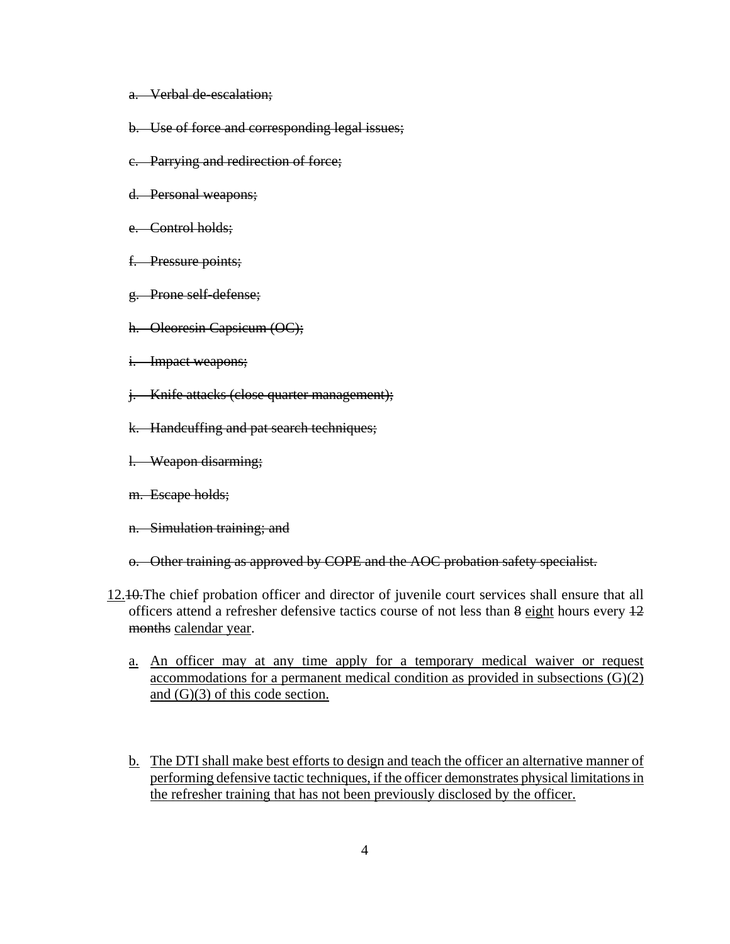- a. Verbal de-escalation;
- b. Use of force and corresponding legal issues;
- c. Parrying and redirection of force;
- d. Personal weapons;
- e. Control holds;
- f. Pressure points;
- g. Prone self-defense;
- h. Oleoresin Capsicum (OC);
- i. Impact weapons;
- j. Knife attacks (close quarter management);
- k. Handcuffing and pat search techniques;
- l. Weapon disarming;
- m. Escape holds;
- n. Simulation training; and

o. Other training as approved by COPE and the AOC probation safety specialist.

- 12.10.The chief probation officer and director of juvenile court services shall ensure that all officers attend a refresher defensive tactics course of not less than 8 eight hours every 12 months calendar year.
	- a. An officer may at any time apply for a temporary medical waiver or request accommodations for a permanent medical condition as provided in subsections (G)(2) and (G)(3) of this code section.
	- b. The DTI shall make best efforts to design and teach the officer an alternative manner of performing defensive tactic techniques, if the officer demonstrates physical limitations in the refresher training that has not been previously disclosed by the officer.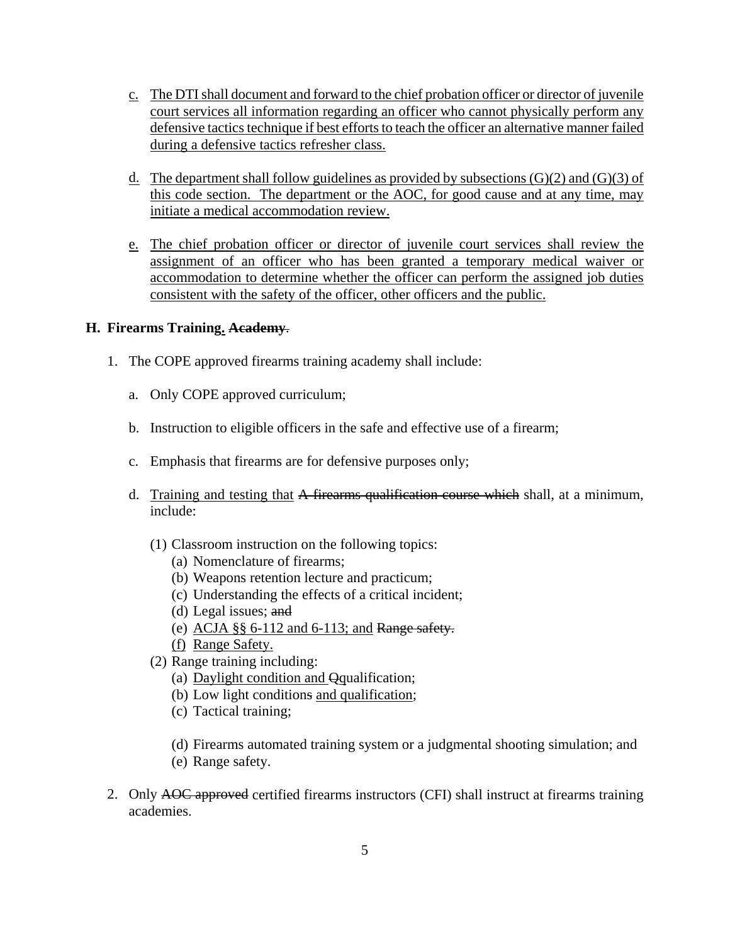- c. The DTI shall document and forward to the chief probation officer or director of juvenile court services all information regarding an officer who cannot physically perform any defensive tactics technique if best efforts to teach the officer an alternative manner failed during a defensive tactics refresher class.
- d. The department shall follow guidelines as provided by subsections  $(G)(2)$  and  $(G)(3)$  of this code section. The department or the AOC, for good cause and at any time, may initiate a medical accommodation review.
- e. The chief probation officer or director of juvenile court services shall review the assignment of an officer who has been granted a temporary medical waiver or accommodation to determine whether the officer can perform the assigned job duties consistent with the safety of the officer, other officers and the public.

# **H. Firearms Training. Academy**.

- 1. The COPE approved firearms training academy shall include:
	- a. Only COPE approved curriculum;
	- b. Instruction to eligible officers in the safe and effective use of a firearm;
	- c. Emphasis that firearms are for defensive purposes only;
	- d. Training and testing that A firearms qualification course which shall, at a minimum, include:
		- (1) Classroom instruction on the following topics:
			- (a) Nomenclature of firearms;
			- (b) Weapons retention lecture and practicum;
			- (c) Understanding the effects of a critical incident;
			- (d) Legal issues; and
			- (e) ACJA §§ 6-112 and 6-113; and Range safety.
			- (f) Range Safety.
		- (2) Range training including:
			- (a) Daylight condition and Qqualification;
			- (b) Low light conditions and qualification;
			- (c) Tactical training;
			- (d) Firearms automated training system or a judgmental shooting simulation; and
			- (e) Range safety.
- 2. Only AOC approved certified firearms instructors (CFI) shall instruct at firearms training academies.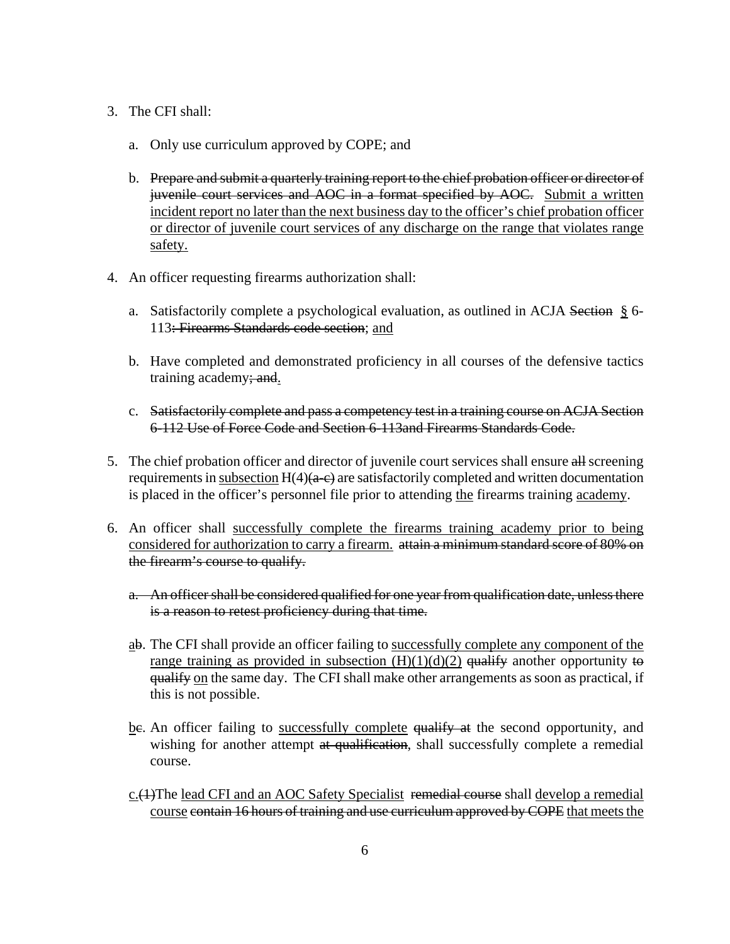- 3. The CFI shall:
	- a. Only use curriculum approved by COPE; and
	- b. Prepare and submit a quarterly training report to the chief probation officer or director of juvenile court services and AOC in a format specified by AOC. Submit a written incident report no later than the next business day to the officer's chief probation officer or director of juvenile court services of any discharge on the range that violates range safety.
- 4. An officer requesting firearms authorization shall:
	- a. Satisfactorily complete a psychological evaluation, as outlined in ACJA Section § 6- 113: Firearms Standards code section; and
	- b. Have completed and demonstrated proficiency in all courses of the defensive tactics training academy; and.
	- c. Satisfactorily complete and pass a competency test in a training course on ACJA Section 6-112 Use of Force Code and Section 6-113and Firearms Standards Code.
- 5. The chief probation officer and director of juvenile court services shall ensure all screening requirements in subsection  $H(4)$ ( $a-e$ ) are satisfactorily completed and written documentation is placed in the officer's personnel file prior to attending the firearms training academy.
- 6. An officer shall successfully complete the firearms training academy prior to being considered for authorization to carry a firearm. attain a minimum standard score of 80% on the firearm's course to qualify.
	- a. An officer shall be considered qualified for one year from qualification date, unless there is a reason to retest proficiency during that time.
	- ab. The CFI shall provide an officer failing to successfully complete any component of the range training as provided in subsection  $(H)(1)(d)(2)$  qualify another opportunity to qualify on the same day. The CFI shall make other arrangements as soon as practical, if this is not possible.
	- be. An officer failing to successfully complete qualify at the second opportunity, and wishing for another attempt at qualification, shall successfully complete a remedial course.
	- c. (H)The lead CFI and an AOC Safety Specialist remedial course shall develop a remedial course contain 16 hours of training and use curriculum approved by COPE that meets the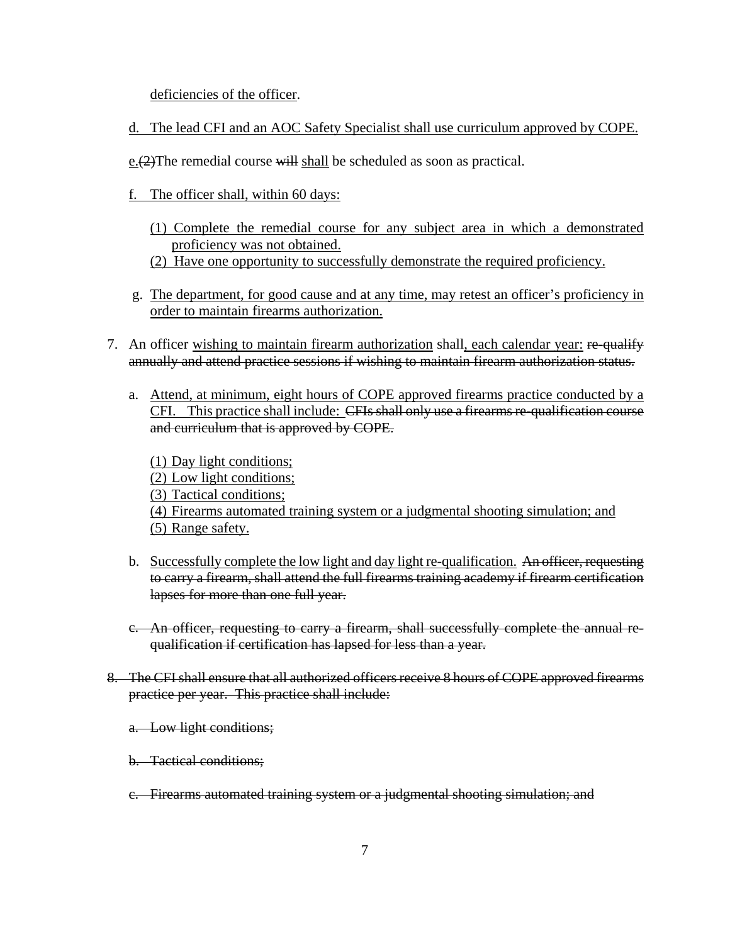deficiencies of the officer.

d. The lead CFI and an AOC Safety Specialist shall use curriculum approved by COPE.

e.(2)The remedial course will shall be scheduled as soon as practical.

- f. The officer shall, within 60 days:
	- (1) Complete the remedial course for any subject area in which a demonstrated proficiency was not obtained.
	- (2) Have one opportunity to successfully demonstrate the required proficiency.
- g. The department, for good cause and at any time, may retest an officer's proficiency in order to maintain firearms authorization.
- 7. An officer wishing to maintain firearm authorization shall, each calendar year: re-qualify annually and attend practice sessions if wishing to maintain firearm authorization status.
	- a. Attend, at minimum, eight hours of COPE approved firearms practice conducted by a CFI. This practice shall include: CFIs shall only use a firearms re-qualification course and curriculum that is approved by COPE.

(1) Day light conditions; (2) Low light conditions; (3) Tactical conditions; (4) Firearms automated training system or a judgmental shooting simulation; and (5) Range safety.

- b. Successfully complete the low light and day light re-qualification. An officer, requesting to carry a firearm, shall attend the full firearms training academy if firearm certification lapses for more than one full year.
- c. An officer, requesting to carry a firearm, shall successfully complete the annual requalification if certification has lapsed for less than a year.
- 8. The CFI shall ensure that all authorized officers receive 8 hours of COPE approved firearms practice per year. This practice shall include:
	- a. Low light conditions;
	- b. Tactical conditions;
	- c. Firearms automated training system or a judgmental shooting simulation; and